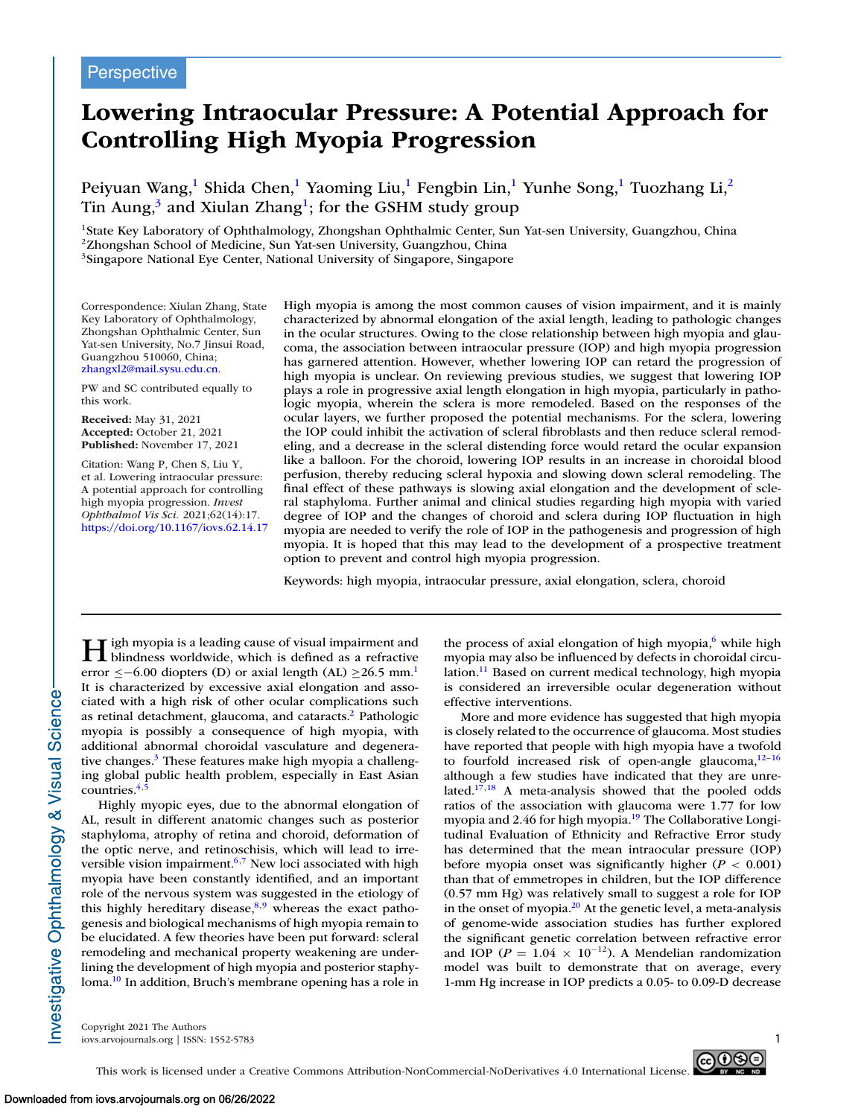# **Lowering Intraocular Pressure: A Potential Approach for Controlling High Myopia Progression**

Peiyuan Wang,<sup>1</sup> Shida Chen,<sup>1</sup> Yaoming Liu,<sup>1</sup> Fengbin Lin,<sup>1</sup> Yunhe Song,<sup>1</sup> Tuozhang Li,<sup>2</sup> Tin Aung, $3$  and Xiulan Zhang<sup>1</sup>; for the GSHM study group

<sup>1</sup>State Key Laboratory of Ophthalmology, Zhongshan Ophthalmic Center, Sun Yat-sen University, Guangzhou, China 2Zhongshan School of Medicine, Sun Yat-sen University, Guangzhou, China <sup>3</sup>Singapore National Eye Center, National University of Singapore, Singapore

Correspondence: Xiulan Zhang, State Key Laboratory of Ophthalmology, Zhongshan Ophthalmic Center, Sun Yat-sen University, No.7 Jinsui Road, Guangzhou 510060, China; [zhangxl2@mail.sysu.edu.cn.](mailto:zhangxl2@mail.sysu.edu.cn.)

PW and SC contributed equally to this work.

**Received:** May 31, 2021 **Accepted:** October 21, 2021 **Published:** November 17, 2021

Citation: Wang P, Chen S, Liu Y, et al. Lowering intraocular pressure: A potential approach for controlling high myopia progression. *Invest Ophthalmol Vis Sci.* 2021;62(14):17. <https://doi.org/10.1167/iovs.62.14.17>

High myopia is among the most common causes of vision impairment, and it is mainly characterized by abnormal elongation of the axial length, leading to pathologic changes in the ocular structures. Owing to the close relationship between high myopia and glaucoma, the association between intraocular pressure (IOP) and high myopia progression has garnered attention. However, whether lowering IOP can retard the progression of high myopia is unclear. On reviewing previous studies, we suggest that lowering IOP plays a role in progressive axial length elongation in high myopia, particularly in pathologic myopia, wherein the sclera is more remodeled. Based on the responses of the ocular layers, we further proposed the potential mechanisms. For the sclera, lowering the IOP could inhibit the activation of scleral fibroblasts and then reduce scleral remodeling, and a decrease in the scleral distending force would retard the ocular expansion like a balloon. For the choroid, lowering IOP results in an increase in choroidal blood perfusion, thereby reducing scleral hypoxia and slowing down scleral remodeling. The final effect of these pathways is slowing axial elongation and the development of scleral staphyloma. Further animal and clinical studies regarding high myopia with varied degree of IOP and the changes of choroid and sclera during IOP fluctuation in high myopia are needed to verify the role of IOP in the pathogenesis and progression of high myopia. It is hoped that this may lead to the development of a prospective treatment option to prevent and control high myopia progression.

Keywords: high myopia, intraocular pressure, axial elongation, sclera, choroid

H igh myopia is a leading cause of visual impairment and<br>blindness worldwide, which is defined as a refractive error  $\leq$ −6.00 diopters (D) or axial length (AL)  $\geq$ 26.5 mm.<sup>1</sup> It is characterized by excessive axial elongation and associated with a high risk of other ocular complications such as retinal detachment, glaucoma, and cataracts.<sup>2</sup> Pathologic myopia is possibly a consequence of high myopia, with additional abnormal choroidal vasculature and degenerative changes.<sup>3</sup> These features make high myopia a challenging global public health problem, especially in East Asian  $countries.<sup>4</sup>$ 

Highly myopic eyes, due to the abnormal elongation of AL, result in different anatomic changes such as posterior staphyloma, atrophy of retina and choroid, deformation of the optic nerve, and retinoschisis, which will lead to irreversible vision impairment.<sup>6,7</sup> New loci associated with high myopia have been constantly identified, and an important role of the nervous system was suggested in the etiology of this highly hereditary disease,<sup>8,9</sup> whereas the exact pathogenesis and biological mechanisms of high myopia remain to be elucidated. A few theories have been put forward: scleral remodeling and mechanical property weakening are underlining the development of high myopia and posterior staphyloma[.10](#page-3-0) In addition, Bruch's membrane opening has a role in

the process of axial elongation of high myopia, $6$  while high myopia may also be influenced by defects in choroidal circulation.<sup>11</sup> Based on current medical technology, high myopia is considered an irreversible ocular degeneration without effective interventions.

More and more evidence has suggested that high myopia is closely related to the occurrence of glaucoma. Most studies have reported that people with high myopia have a twofold to fourfold increased risk of open-angle glaucoma, $12-16$ although a few studies have indicated that they are unrelated. $17,18$  A meta-analysis showed that the pooled odds ratios of the association with glaucoma were 1.77 for low myopia and 2.46 for high myopia[.19](#page-4-0) The Collaborative Longitudinal Evaluation of Ethnicity and Refractive Error study has determined that the mean intraocular pressure (IOP) before myopia onset was significantly higher  $(P < 0.001)$ than that of emmetropes in children, but the IOP difference (0.57 mm Hg) was relatively small to suggest a role for IOP in the onset of myopia. $2<sup>0</sup>$  At the genetic level, a meta-analysis of genome-wide association studies has further explored the significant genetic correlation between refractive error and IOP ( $P = 1.04 \times 10^{-12}$ ). A Mendelian randomization model was built to demonstrate that on average, every 1-mm Hg increase in IOP predicts a 0.05- to 0.09-D decrease

Copyright 2021 The Authors  $\sim$ iovs.arvojournals.org | ISSN: 1552-5783



nvestigative Ophthalmology & Visual Science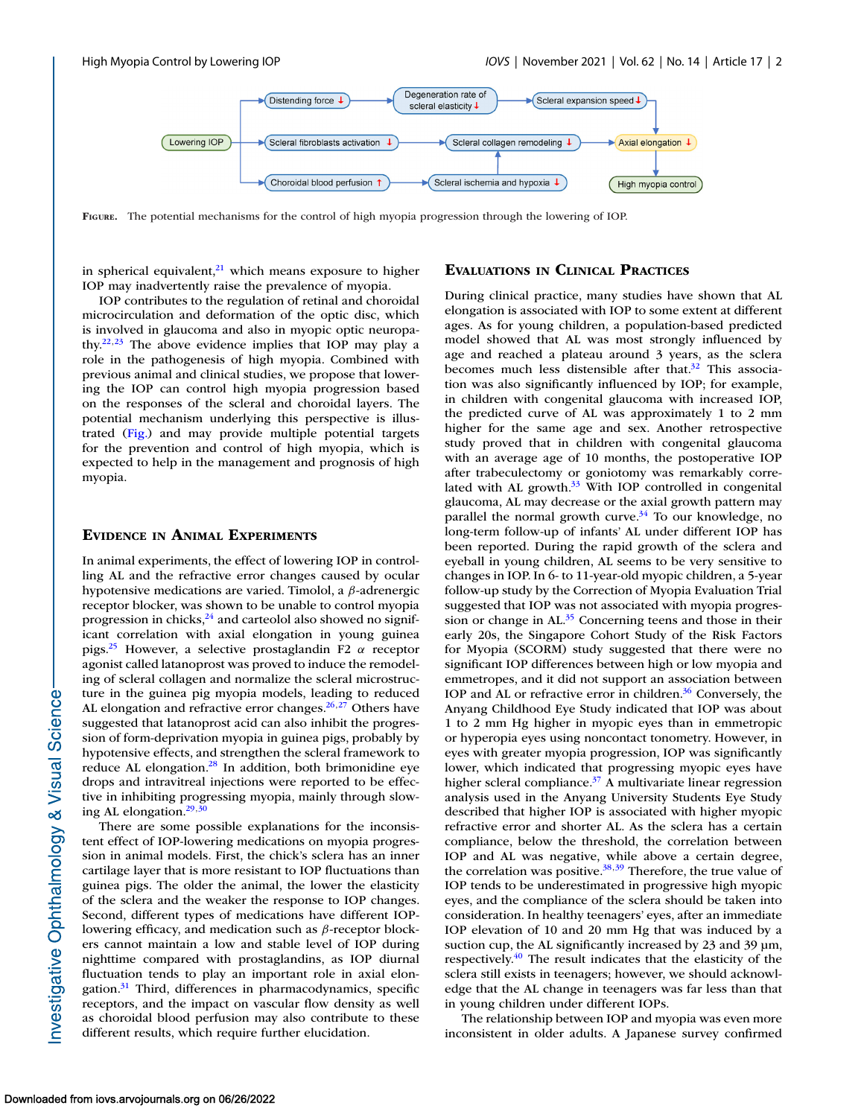

**FIGURE.** The potential mechanisms for the control of high myopia progression through the lowering of IOP.

in spherical equivalent, $^{21}$  which means exposure to higher IOP may inadvertently raise the prevalence of myopia.

IOP contributes to the regulation of retinal and choroidal microcirculation and deformation of the optic disc, which is involved in glaucoma and also in myopic optic neuropathy.<sup>22,23</sup> The above evidence implies that IOP may play a role in the pathogenesis of high myopia. Combined with previous animal and clinical studies, we propose that lowering the IOP can control high myopia progression based on the responses of the scleral and choroidal layers. The potential mechanism underlying this perspective is illustrated (Fig.) and may provide multiple potential targets for the prevention and control of high myopia, which is expected to help in the management and prognosis of high myopia.

# **EVIDENCE IN ANIMAL EXPERIMENTS**

In animal experiments, the effect of lowering IOP in controlling AL and the refractive error changes caused by ocular hypotensive medications are varied. Timolol, a β-adrenergic receptor blocker, was shown to be unable to control myopia progression in chicks, $24$  and carteolol also showed no significant correlation with axial elongation in young guinea pigs.<sup>25</sup> However, a selective prostaglandin F2  $\alpha$  receptor agonist called latanoprost was proved to induce the remodeling of scleral collagen and normalize the scleral microstructure in the guinea pig myopia models, leading to reduced AL elongation and refractive error changes. $26,27$  Others have suggested that latanoprost acid can also inhibit the progression of form-deprivation myopia in guinea pigs, probably by hypotensive effects, and strengthen the scleral framework to reduce AL elongation. $^{28}$  In addition, both brimonidine eye drops and intravitreal injections were reported to be effective in inhibiting progressing myopia, mainly through slowing AL elongation. $29,30$ 

There are some possible explanations for the inconsistent effect of IOP-lowering medications on myopia progression in animal models. First, the chick's sclera has an inner cartilage layer that is more resistant to IOP fluctuations than guinea pigs. The older the animal, the lower the elasticity of the sclera and the weaker the response to IOP changes. Second, different types of medications have different IOPlowering efficacy, and medication such as β-receptor blockers cannot maintain a low and stable level of IOP during nighttime compared with prostaglandins, as IOP diurnal fluctuation tends to play an important role in axial elongation.<sup>31</sup> Third, differences in pharmacodynamics, specific receptors, and the impact on vascular flow density as well as choroidal blood perfusion may also contribute to these different results, which require further elucidation.

# **EVALUATIONS IN CLINICAL PRACTICES**

During clinical practice, many studies have shown that AL elongation is associated with IOP to some extent at different ages. As for young children, a population-based predicted model showed that AL was most strongly influenced by age and reached a plateau around 3 years, as the sclera becomes much less distensible after that.<sup>32</sup> This association was also significantly influenced by IOP; for example, in children with congenital glaucoma with increased IOP, the predicted curve of AL was approximately 1 to 2 mm higher for the same age and sex. Another retrospective study proved that in children with congenital glaucoma with an average age of 10 months, the postoperative IOP after trabeculectomy or goniotomy was remarkably correlated with AL growth. $33$  With IOP controlled in congenital glaucoma, AL may decrease or the axial growth pattern may parallel the normal growth curve.<sup>34</sup> To our knowledge, no long-term follow-up of infants' AL under different IOP has been reported. During the rapid growth of the sclera and eyeball in young children, AL seems to be very sensitive to changes in IOP. In 6- to 11-year-old myopic children, a 5-year follow-up study by the Correction of Myopia Evaluation Trial suggested that IOP was not associated with myopia progression or change in  $AL<sup>35</sup>$  Concerning teens and those in their early 20s, the Singapore Cohort Study of the Risk Factors for Myopia (SCORM) study suggested that there were no significant IOP differences between high or low myopia and emmetropes, and it did not support an association between IOP and AL or refractive error in children. $36$  Conversely, the Anyang Childhood Eye Study indicated that IOP was about 1 to 2 mm Hg higher in myopic eyes than in emmetropic or hyperopia eyes using noncontact tonometry. However, in eyes with greater myopia progression, IOP was significantly lower, which indicated that progressing myopic eyes have higher scleral compliance.<sup>37</sup> A multivariate linear regression analysis used in the Anyang University Students Eye Study described that higher IOP is associated with higher myopic refractive error and shorter AL. As the sclera has a certain compliance, below the threshold, the correlation between IOP and AL was negative, while above a certain degree, the correlation was positive.<sup>38,39</sup> Therefore, the true value of IOP tends to be underestimated in progressive high myopic eyes, and the compliance of the sclera should be taken into consideration. In healthy teenagers' eyes, after an immediate IOP elevation of 10 and 20 mm Hg that was induced by a suction cup, the AL significantly increased by 23 and 39 μm, respectively[.40](#page-4-0) The result indicates that the elasticity of the sclera still exists in teenagers; however, we should acknowledge that the AL change in teenagers was far less than that in young children under different IOPs.

The relationship between IOP and myopia was even more inconsistent in older adults. A Japanese survey confirmed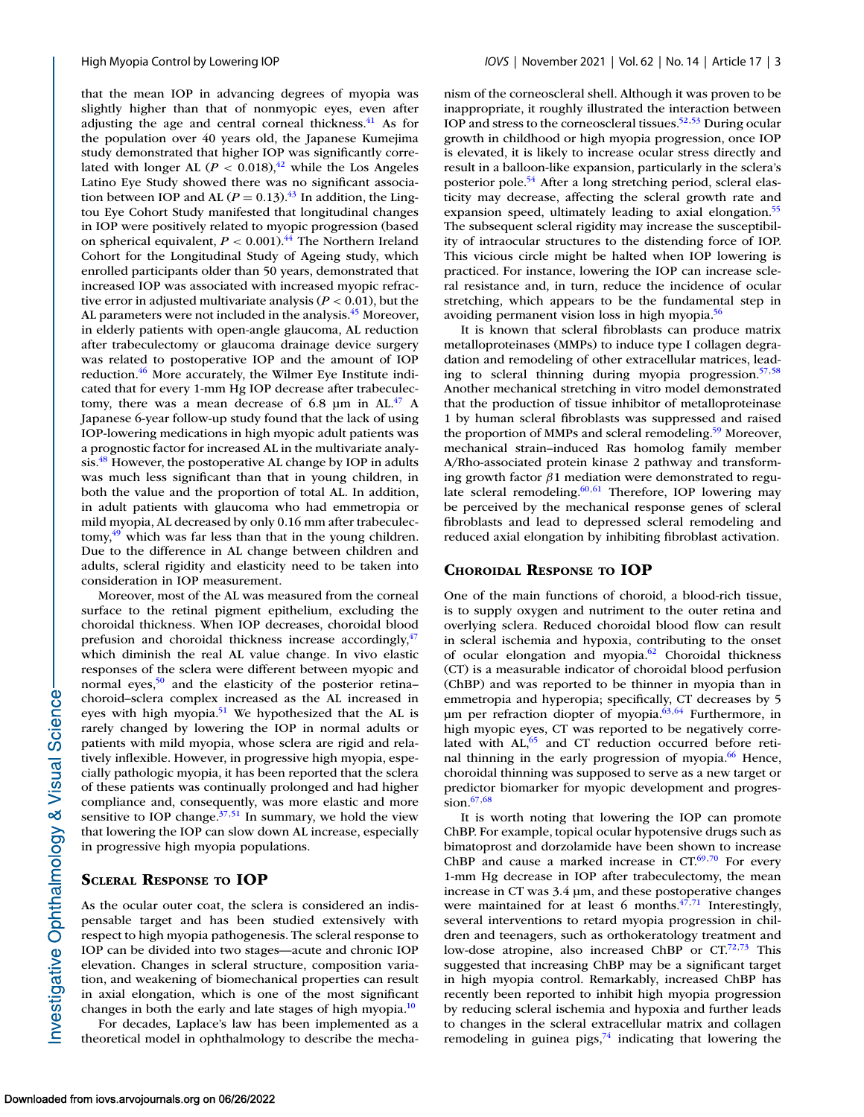that the mean IOP in advancing degrees of myopia was slightly higher than that of nonmyopic eyes, even after adjusting the age and central corneal thickness.<sup>41</sup> As for the population over 40 years old, the Japanese Kumejima study demonstrated that higher IOP was significantly correlated with longer AL ( $P < 0.018$ ), <sup>42</sup> while the Los Angeles Latino Eye Study showed there was no significant association between IOP and AL ( $P = 0.13$ ).<sup>43</sup> In addition, the Lingtou Eye Cohort Study manifested that longitudinal changes in IOP were positively related to myopic progression (based on spherical equivalent,  $P < 0.001$ .<sup>44</sup> The Northern Ireland Cohort for the Longitudinal Study of Ageing study, which enrolled participants older than 50 years, demonstrated that increased IOP was associated with increased myopic refractive error in adjusted multivariate analysis ( $P < 0.01$ ), but the AL parameters were not included in the analysis.<sup>45</sup> Moreover, in elderly patients with open-angle glaucoma, AL reduction after trabeculectomy or glaucoma drainage device surgery was related to postoperative IOP and the amount of IOP reduction.<sup>46</sup> More accurately, the Wilmer Eye Institute indicated that for every 1-mm Hg IOP decrease after trabeculectomy, there was a mean decrease of 6.8  $\mu$ m in AL.<sup>47</sup> A Japanese 6-year follow-up study found that the lack of using IOP-lowering medications in high myopic adult patients was a prognostic factor for increased AL in the multivariate analysis.<sup>48</sup> However, the postoperative AL change by IOP in adults was much less significant than that in young children, in both the value and the proportion of total AL. In addition, in adult patients with glaucoma who had emmetropia or mild myopia, AL decreased by only 0.16 mm after trabeculectomy, $49$  which was far less than that in the young children. Due to the difference in AL change between children and adults, scleral rigidity and elasticity need to be taken into consideration in IOP measurement.

Moreover, most of the AL was measured from the corneal surface to the retinal pigment epithelium, excluding the choroidal thickness. When IOP decreases, choroidal blood prefusion and choroidal thickness increase accordingly, $47$ which diminish the real AL value change. In vivo elastic responses of the sclera were different between myopic and normal eyes,<sup>50</sup> and the elasticity of the posterior retinachoroid–sclera complex increased as the AL increased in eyes with high myopia.<sup>51</sup> We hypothesized that the AL is rarely changed by lowering the IOP in normal adults or patients with mild myopia, whose sclera are rigid and relatively inflexible. However, in progressive high myopia, especially pathologic myopia, it has been reported that the sclera of these patients was continually prolonged and had higher compliance and, consequently, was more elastic and more sensitive to IOP change. $37,51$  In summary, we hold the view that lowering the IOP can slow down AL increase, especially in progressive high myopia populations.

# **SCLERAL RESPONSE TO IOP**

As the ocular outer coat, the sclera is considered an indispensable target and has been studied extensively with respect to high myopia pathogenesis. The scleral response to IOP can be divided into two stages—acute and chronic IOP elevation. Changes in scleral structure, composition variation, and weakening of biomechanical properties can result in axial elongation, which is one of the most significant changes in both the early and late stages of high myopia.<sup>10</sup>

For decades, Laplace's law has been implemented as a theoretical model in ophthalmology to describe the mechanism of the corneoscleral shell. Although it was proven to be inappropriate, it roughly illustrated the interaction between IOP and stress to the corneoscleral tissues.<sup>52,53</sup> During ocular growth in childhood or high myopia progression, once IOP is elevated, it is likely to increase ocular stress directly and result in a balloon-like expansion, particularly in the sclera's posterior pole[.54](#page-4-0) After a long stretching period, scleral elasticity may decrease, affecting the scleral growth rate and expansion speed, ultimately leading to axial elongation.<sup>55</sup> The subsequent scleral rigidity may increase the susceptibility of intraocular structures to the distending force of IOP. This vicious circle might be halted when IOP lowering is practiced. For instance, lowering the IOP can increase scleral resistance and, in turn, reduce the incidence of ocular stretching, which appears to be the fundamental step in avoiding permanent vision loss in high myopia[.56](#page-4-0)

It is known that scleral fibroblasts can produce matrix metalloproteinases (MMPs) to induce type I collagen degradation and remodeling of other extracellular matrices, leading to scleral thinning during myopia progression[.57,58](#page-5-0) Another mechanical stretching in vitro model demonstrated that the production of tissue inhibitor of metalloproteinase 1 by human scleral fibroblasts was suppressed and raised the proportion of MMPs and scleral remodeling.<sup>59</sup> Moreover, mechanical strain–induced Ras homolog family member A/Rho-associated protein kinase 2 pathway and transforming growth factor  $\beta$ 1 mediation were demonstrated to regulate scleral remodeling. $60,61$  Therefore, IOP lowering may be perceived by the mechanical response genes of scleral fibroblasts and lead to depressed scleral remodeling and reduced axial elongation by inhibiting fibroblast activation.

#### **CHOROIDAL RESPONSE TO IOP**

One of the main functions of choroid, a blood-rich tissue, is to supply oxygen and nutriment to the outer retina and overlying sclera. Reduced choroidal blood flow can result in scleral ischemia and hypoxia, contributing to the onset of ocular elongation and myopia. $62$  Choroidal thickness (CT) is a measurable indicator of choroidal blood perfusion (ChBP) and was reported to be thinner in myopia than in emmetropia and hyperopia; specifically, CT decreases by 5 μm per refraction diopter of myopia. $63,64$  Furthermore, in high myopic eyes, CT was reported to be negatively correlated with AL,<sup>65</sup> and CT reduction occurred before retinal thinning in the early progression of myopia.<sup>66</sup> Hence, choroidal thinning was supposed to serve as a new target or predictor biomarker for myopic development and progression.<sup>67,68</sup>

It is worth noting that lowering the IOP can promote ChBP. For example, topical ocular hypotensive drugs such as bimatoprost and dorzolamide have been shown to increase ChBP and cause a marked increase in  $CT^{(69,70)}$  For every 1-mm Hg decrease in IOP after trabeculectomy, the mean increase in CT was 3.4 μm, and these postoperative changes were maintained for at least 6 months. $47,71$  $47,71$  Interestingly, several interventions to retard myopia progression in children and teenagers, such as orthokeratology treatment and low-dose atropine, also increased ChBP or  $CT^{72,73}$  This suggested that increasing ChBP may be a significant target in high myopia control. Remarkably, increased ChBP has recently been reported to inhibit high myopia progression by reducing scleral ischemia and hypoxia and further leads to changes in the scleral extracellular matrix and collagen remodeling in guinea pigs, $74$  indicating that lowering the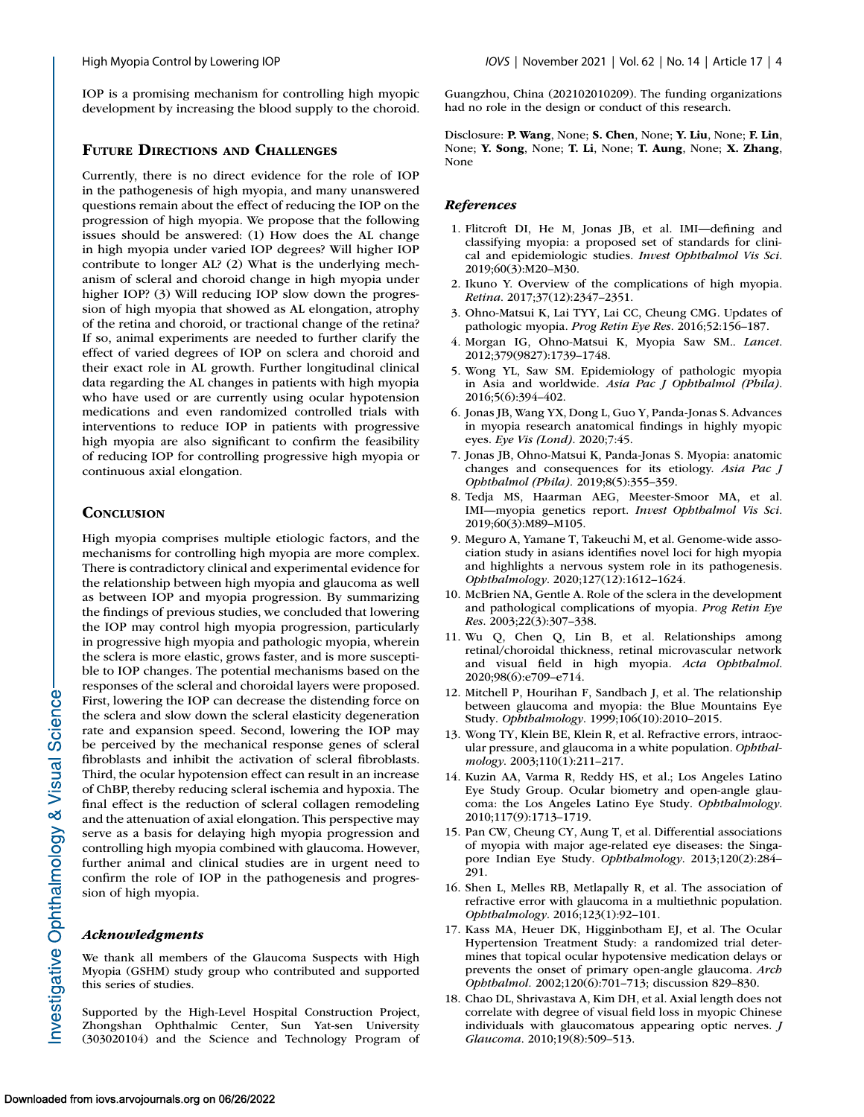<span id="page-3-0"></span>IOP is a promising mechanism for controlling high myopic development by increasing the blood supply to the choroid.

# **FUTURE DIRECTIONS AND CHALLENGES**

Currently, there is no direct evidence for the role of IOP in the pathogenesis of high myopia, and many unanswered questions remain about the effect of reducing the IOP on the progression of high myopia. We propose that the following issues should be answered: (1) How does the AL change in high myopia under varied IOP degrees? Will higher IOP contribute to longer AL? (2) What is the underlying mechanism of scleral and choroid change in high myopia under higher IOP? (3) Will reducing IOP slow down the progression of high myopia that showed as AL elongation, atrophy of the retina and choroid, or tractional change of the retina? If so, animal experiments are needed to further clarify the effect of varied degrees of IOP on sclera and choroid and their exact role in AL growth. Further longitudinal clinical data regarding the AL changes in patients with high myopia who have used or are currently using ocular hypotension medications and even randomized controlled trials with interventions to reduce IOP in patients with progressive high myopia are also significant to confirm the feasibility of reducing IOP for controlling progressive high myopia or continuous axial elongation.

## **CONCLUSION**

High myopia comprises multiple etiologic factors, and the mechanisms for controlling high myopia are more complex. There is contradictory clinical and experimental evidence for the relationship between high myopia and glaucoma as well as between IOP and myopia progression. By summarizing the findings of previous studies, we concluded that lowering the IOP may control high myopia progression, particularly in progressive high myopia and pathologic myopia, wherein the sclera is more elastic, grows faster, and is more susceptible to IOP changes. The potential mechanisms based on the responses of the scleral and choroidal layers were proposed. First, lowering the IOP can decrease the distending force on the sclera and slow down the scleral elasticity degeneration rate and expansion speed. Second, lowering the IOP may be perceived by the mechanical response genes of scleral fibroblasts and inhibit the activation of scleral fibroblasts. Third, the ocular hypotension effect can result in an increase of ChBP, thereby reducing scleral ischemia and hypoxia. The final effect is the reduction of scleral collagen remodeling and the attenuation of axial elongation. This perspective may serve as a basis for delaying high myopia progression and controlling high myopia combined with glaucoma. However, further animal and clinical studies are in urgent need to confirm the role of IOP in the pathogenesis and progression of high myopia.

## *Acknowledgments*

We thank all members of the Glaucoma Suspects with High Myopia (GSHM) study group who contributed and supported this series of studies.

Supported by the High-Level Hospital Construction Project, Zhongshan Ophthalmic Center, Sun Yat-sen University (303020104) and the Science and Technology Program of

Guangzhou, China (202102010209). The funding organizations had no role in the design or conduct of this research.

Disclosure: **P. Wang**, None; **S. Chen**, None; **Y. Liu**, None; **F. Lin**, None; **Y. Song**, None; **T. Li**, None; **T. Aung**, None; **X. Zhang**, None

#### *References*

- 1. Flitcroft DI, He M, Jonas JB, et al. IMI—defining and classifying myopia: a proposed set of standards for clinical and epidemiologic studies. *Invest Ophthalmol Vis Sci*. 2019;60(3):M20–M30.
- 2. Ikuno Y. Overview of the complications of high myopia. *Retina*. 2017;37(12):2347–2351.
- 3. Ohno-Matsui K, Lai TYY, Lai CC, Cheung CMG. Updates of pathologic myopia. *Prog Retin Eye Res*. 2016;52:156–187.
- 4. Morgan IG, Ohno-Matsui K, Myopia Saw SM.. *Lancet*. 2012;379(9827):1739–1748.
- 5. Wong YL, Saw SM. Epidemiology of pathologic myopia in Asia and worldwide. *Asia Pac J Ophthalmol (Phila)*. 2016;5(6):394–402.
- 6. Jonas JB, Wang YX, Dong L, Guo Y, Panda-Jonas S. Advances in myopia research anatomical findings in highly myopic eyes. *Eye Vis (Lond)*. 2020;7:45.
- 7. Jonas JB, Ohno-Matsui K, Panda-Jonas S. Myopia: anatomic changes and consequences for its etiology. *Asia Pac J Ophthalmol (Phila).* 2019;8(5):355–359.
- 8. Tedja MS, Haarman AEG, Meester-Smoor MA, et al. IMI—myopia genetics report. *Invest Ophthalmol Vis Sci*. 2019;60(3):M89–M105.
- 9. Meguro A, Yamane T, Takeuchi M, et al. Genome-wide association study in asians identifies novel loci for high myopia and highlights a nervous system role in its pathogenesis. *Ophthalmology*. 2020;127(12):1612–1624.
- 10. McBrien NA, Gentle A. Role of the sclera in the development and pathological complications of myopia. *Prog Retin Eye Res*. 2003;22(3):307–338.
- 11. Wu Q, Chen Q, Lin B, et al. Relationships among retinal/choroidal thickness, retinal microvascular network and visual field in high myopia. *Acta Ophthalmol*. 2020;98(6):e709–e714.
- 12. Mitchell P, Hourihan F, Sandbach J, et al. The relationship between glaucoma and myopia: the Blue Mountains Eye Study. *Ophthalmology*. 1999;106(10):2010–2015.
- 13. Wong TY, Klein BE, Klein R, et al. Refractive errors, intraocular pressure, and glaucoma in a white population. *Ophthalmology*. 2003;110(1):211–217.
- 14. Kuzin AA, Varma R, Reddy HS, et al.; Los Angeles Latino Eye Study Group. Ocular biometry and open-angle glaucoma: the Los Angeles Latino Eye Study. *Ophthalmology*. 2010;117(9):1713–1719.
- 15. Pan CW, Cheung CY, Aung T, et al. Differential associations of myopia with major age-related eye diseases: the Singapore Indian Eye Study. *Ophthalmology*. 2013;120(2):284– 291.
- 16. Shen L, Melles RB, Metlapally R, et al. The association of refractive error with glaucoma in a multiethnic population. *Ophthalmology*. 2016;123(1):92–101.
- 17. Kass MA, Heuer DK, Higginbotham EJ, et al. The Ocular Hypertension Treatment Study: a randomized trial determines that topical ocular hypotensive medication delays or prevents the onset of primary open-angle glaucoma. *Arch Ophthalmol.* 2002;120(6):701–713; discussion 829–830.
- 18. Chao DL, Shrivastava A, Kim DH, et al. Axial length does not correlate with degree of visual field loss in myopic Chinese individuals with glaucomatous appearing optic nerves. *J Glaucoma*. 2010;19(8):509–513.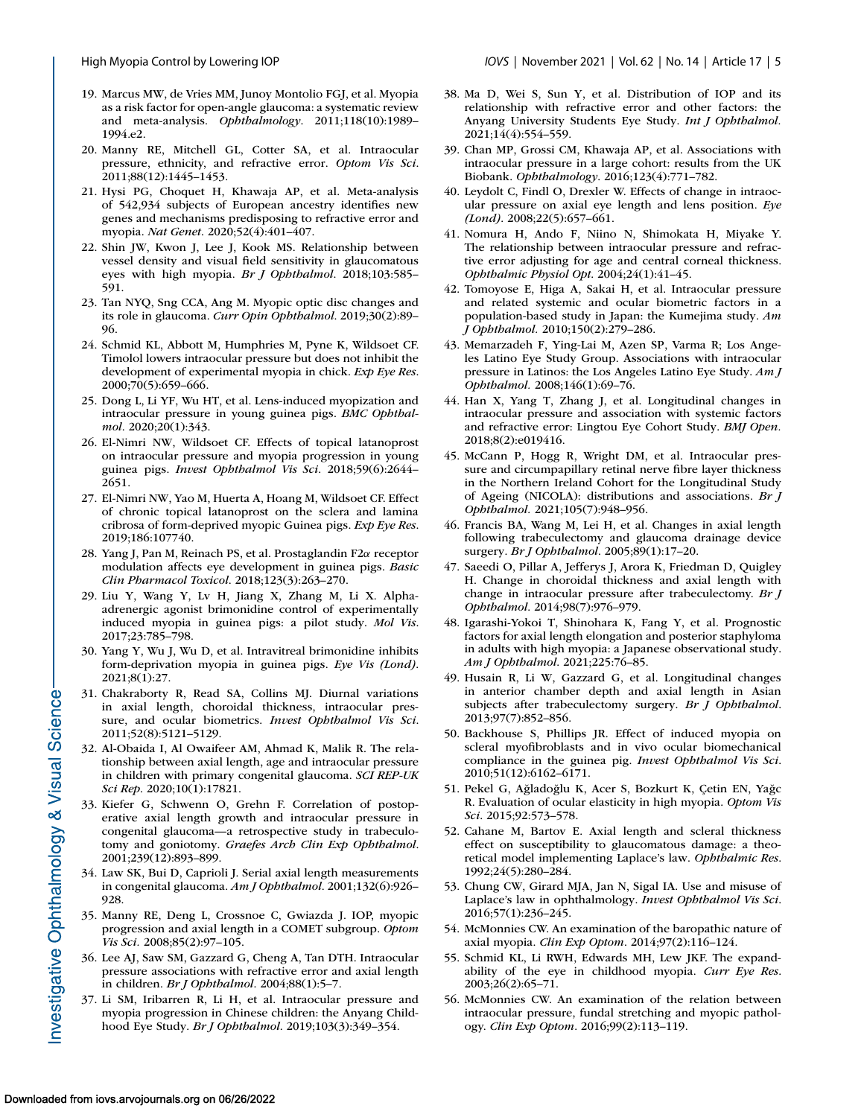- <span id="page-4-0"></span>19. Marcus MW, de Vries MM, Junoy Montolio FGJ, et al. Myopia as a risk factor for open-angle glaucoma: a systematic review and meta-analysis. *Ophthalmology*. 2011;118(10):1989– 1994.e2.
- 20. Manny RE, Mitchell GL, Cotter SA, et al. Intraocular pressure, ethnicity, and refractive error. *Optom Vis Sci*. 2011;88(12):1445–1453.
- 21. Hysi PG, Choquet H, Khawaja AP, et al. Meta-analysis of 542,934 subjects of European ancestry identifies new genes and mechanisms predisposing to refractive error and myopia. *Nat Genet*. 2020;52(4):401–407.
- 22. Shin JW, Kwon J, Lee J, Kook MS. Relationship between vessel density and visual field sensitivity in glaucomatous eyes with high myopia. *Br J Ophthalmol*. 2018;103:585– 591.
- 23. Tan NYQ, Sng CCA, Ang M. Myopic optic disc changes and its role in glaucoma. *Curr Opin Ophthalmol*. 2019;30(2):89– 96.
- 24. Schmid KL, Abbott M, Humphries M, Pyne K, Wildsoet CF. Timolol lowers intraocular pressure but does not inhibit the development of experimental myopia in chick. *Exp Eye Res*. 2000;70(5):659–666.
- 25. Dong L, Li YF, Wu HT, et al. Lens-induced myopization and intraocular pressure in young guinea pigs. *BMC Ophthalmol*. 2020;20(1):343.
- 26. El-Nimri NW, Wildsoet CF. Effects of topical latanoprost on intraocular pressure and myopia progression in young guinea pigs. *Invest Ophthalmol Vis Sci*. 2018;59(6):2644– 2651.
- 27. El-Nimri NW, Yao M, Huerta A, Hoang M, Wildsoet CF. Effect of chronic topical latanoprost on the sclera and lamina cribrosa of form-deprived myopic Guinea pigs. *Exp Eye Res*. 2019;186:107740.
- 28. Yang J, Pan M, Reinach PS, et al. Prostaglandin F2α receptor modulation affects eye development in guinea pigs. *Basic Clin Pharmacol Toxicol*. 2018;123(3):263–270.
- 29. Liu Y, Wang Y, Lv H, Jiang X, Zhang M, Li X. Alphaadrenergic agonist brimonidine control of experimentally induced myopia in guinea pigs: a pilot study. *Mol Vis*. 2017;23:785–798.
- 30. Yang Y, Wu J, Wu D, et al. Intravitreal brimonidine inhibits form-deprivation myopia in guinea pigs. *Eye Vis (Lond)*. 2021;8(1):27.
- 31. Chakraborty R, Read SA, Collins MJ. Diurnal variations in axial length, choroidal thickness, intraocular pressure, and ocular biometrics. *Invest Ophthalmol Vis Sci*. 2011;52(8):5121–5129.
- 32. Al-Obaida I, Al Owaifeer AM, Ahmad K, Malik R. The relationship between axial length, age and intraocular pressure in children with primary congenital glaucoma. *SCI REP-UK Sci Rep*. 2020;10(1):17821.
- 33. Kiefer G, Schwenn O, Grehn F. Correlation of postoperative axial length growth and intraocular pressure in congenital glaucoma—a retrospective study in trabeculotomy and goniotomy. *Graefes Arch Clin Exp Ophthalmol*. 2001;239(12):893–899.
- 34. Law SK, Bui D, Caprioli J. Serial axial length measurements in congenital glaucoma. *Am J Ophthalmol*. 2001;132(6):926– 928.
- 35. Manny RE, Deng L, Crossnoe C, Gwiazda J. IOP, myopic progression and axial length in a COMET subgroup. *Optom Vis Sci.* 2008;85(2):97–105.
- 36. Lee AJ, Saw SM, Gazzard G, Cheng A, Tan DTH. Intraocular pressure associations with refractive error and axial length in children. *Br J Ophthalmol*. 2004;88(1):5–7.
- 37. Li SM, Iribarren R, Li H, et al. Intraocular pressure and myopia progression in Chinese children: the Anyang Childhood Eye Study. *Br J Ophthalmol*. 2019;103(3):349–354.
- 38. Ma D, Wei S, Sun Y, et al. Distribution of IOP and its relationship with refractive error and other factors: the Anyang University Students Eye Study. *Int J Ophthalmol.* 2021;14(4):554–559.
- 39. Chan MP, Grossi CM, Khawaja AP, et al. Associations with intraocular pressure in a large cohort: results from the UK Biobank. *Ophthalmology*. 2016;123(4):771–782.
- 40. Leydolt C, Findl O, Drexler W. Effects of change in intraocular pressure on axial eye length and lens position. *Eye (Lond)*. 2008;22(5):657–661.
- 41. Nomura H, Ando F, Niino N, Shimokata H, Miyake Y. The relationship between intraocular pressure and refractive error adjusting for age and central corneal thickness. *Ophthalmic Physiol Opt*. 2004;24(1):41–45.
- 42. Tomoyose E, Higa A, Sakai H, et al. Intraocular pressure and related systemic and ocular biometric factors in a population-based study in Japan: the Kumejima study. *Am J Ophthalmol.* 2010;150(2):279–286.
- 43. Memarzadeh F, Ying-Lai M, Azen SP, Varma R; Los Angeles Latino Eye Study Group. Associations with intraocular pressure in Latinos: the Los Angeles Latino Eye Study. *Am J Ophthalmol.* 2008;146(1):69–76.
- 44. Han X, Yang T, Zhang J, et al. Longitudinal changes in intraocular pressure and association with systemic factors and refractive error: Lingtou Eye Cohort Study. *BMJ Open.* 2018;8(2):e019416.
- 45. McCann P, Hogg R, Wright DM, et al. Intraocular pressure and circumpapillary retinal nerve fibre layer thickness in the Northern Ireland Cohort for the Longitudinal Study of Ageing (NICOLA): distributions and associations. *Br J Ophthalmol.* 2021;105(7):948–956.
- 46. Francis BA, Wang M, Lei H, et al. Changes in axial length following trabeculectomy and glaucoma drainage device surgery. *Br J Ophthalmol*. 2005;89(1):17–20.
- 47. Saeedi O, Pillar A, Jefferys J, Arora K, Friedman D, Quigley H. Change in choroidal thickness and axial length with change in intraocular pressure after trabeculectomy. *Br J Ophthalmol*. 2014;98(7):976–979.
- 48. Igarashi-Yokoi T, Shinohara K, Fang Y, et al. Prognostic factors for axial length elongation and posterior staphyloma in adults with high myopia: a Japanese observational study. *Am J Ophthalmol*. 2021;225:76–85.
- 49. Husain R, Li W, Gazzard G, et al. Longitudinal changes in anterior chamber depth and axial length in Asian subjects after trabeculectomy surgery. *Br J Ophthalmol*. 2013;97(7):852–856.
- 50. Backhouse S, Phillips JR. Effect of induced myopia on scleral myofibroblasts and in vivo ocular biomechanical compliance in the guinea pig. *Invest Ophthalmol Vis Sci*. 2010;51(12):6162–6171.
- 51. Pekel G, Ağladoğlu K, Acer S, Bozkurt K, Çetin EN, Yağc R. Evaluation of ocular elasticity in high myopia. *Optom Vis Sci*. 2015;92:573–578.
- 52. Cahane M, Bartov E. Axial length and scleral thickness effect on susceptibility to glaucomatous damage: a theoretical model implementing Laplace's law. *Ophthalmic Res*. 1992;24(5):280–284.
- 53. Chung CW, Girard MJA, Jan N, Sigal IA. Use and misuse of Laplace's law in ophthalmology. *Invest Ophthalmol Vis Sci*. 2016;57(1):236–245.
- 54. McMonnies CW. An examination of the baropathic nature of axial myopia. *Clin Exp Optom*. 2014;97(2):116–124.
- 55. Schmid KL, Li RWH, Edwards MH, Lew JKF. The expandability of the eye in childhood myopia. *Curr Eye Res*. 2003;26(2):65–71.
- 56. McMonnies CW. An examination of the relation between intraocular pressure, fundal stretching and myopic pathology. *Clin Exp Optom*. 2016;99(2):113–119.